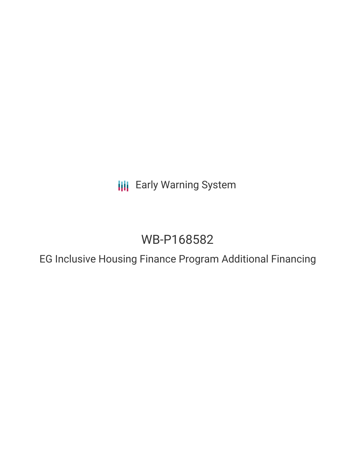**III** Early Warning System

# WB-P168582

EG Inclusive Housing Finance Program Additional Financing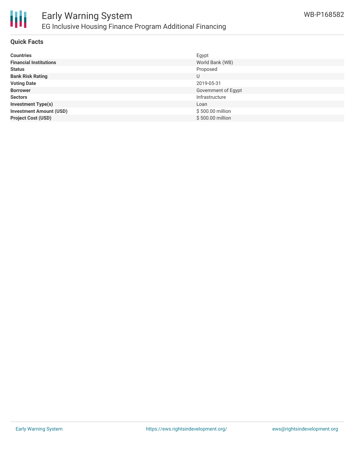

#### **Quick Facts**

| <b>Countries</b>               | Egypt               |
|--------------------------------|---------------------|
| <b>Financial Institutions</b>  | World Bank (WB)     |
| <b>Status</b>                  | Proposed            |
| <b>Bank Risk Rating</b>        | U                   |
| <b>Voting Date</b>             | 2019-05-31          |
| <b>Borrower</b>                | Government of Egypt |
| <b>Sectors</b>                 | Infrastructure      |
| <b>Investment Type(s)</b>      | Loan                |
| <b>Investment Amount (USD)</b> | \$500.00 million    |
| <b>Project Cost (USD)</b>      | \$500.00 million    |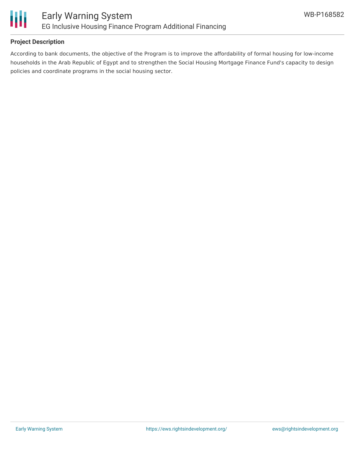

## **Project Description**

According to bank documents, the objective of the Program is to improve the affordability of formal housing for low-income households in the Arab Republic of Egypt and to strengthen the Social Housing Mortgage Finance Fund's capacity to design policies and coordinate programs in the social housing sector.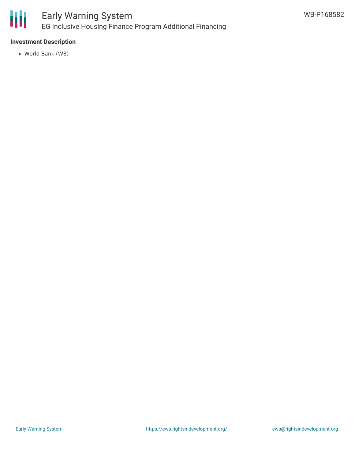

## **Investment Description**

World Bank (WB)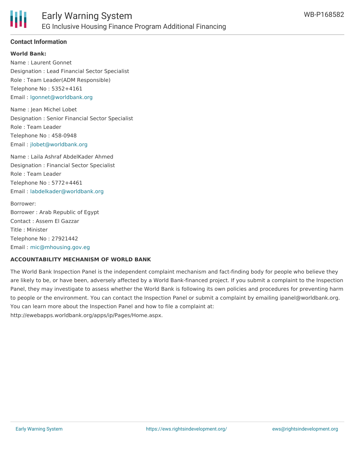# **Contact Information**

**World Bank:**

Name : Laurent Gonnet Designation : Lead Financial Sector Specialist Role : Team Leader(ADM Responsible) Telephone No : 5352+4161 Email : [lgonnet@worldbank.org](mailto:lgonnet@worldbank.org)

Name : Jean Michel Lobet Designation : Senior Financial Sector Specialist Role : Team Leader Telephone No : 458-0948 Email : [jlobet@worldbank.org](mailto:jlobet@worldbank.org)

Name : Laila Ashraf AbdelKader Ahmed Designation : Financial Sector Specialist Role : Team Leader Telephone No : 5772+4461 Email : [labdelkader@worldbank.org](mailto:labdelkader@worldbank.org)

Borrower: Borrower : Arab Republic of Egypt Contact : Assem El Gazzar Title : Minister Telephone No : 27921442 Email : [mic@mhousing.gov.eg](mailto:mic@mhousing.gov.eg)

#### **ACCOUNTABILITY MECHANISM OF WORLD BANK**

The World Bank Inspection Panel is the independent complaint mechanism and fact-finding body for people who believe they are likely to be, or have been, adversely affected by a World Bank-financed project. If you submit a complaint to the Inspection Panel, they may investigate to assess whether the World Bank is following its own policies and procedures for preventing harm to people or the environment. You can contact the Inspection Panel or submit a complaint by emailing ipanel@worldbank.org. You can learn more about the Inspection Panel and how to file a complaint at: http://ewebapps.worldbank.org/apps/ip/Pages/Home.aspx.